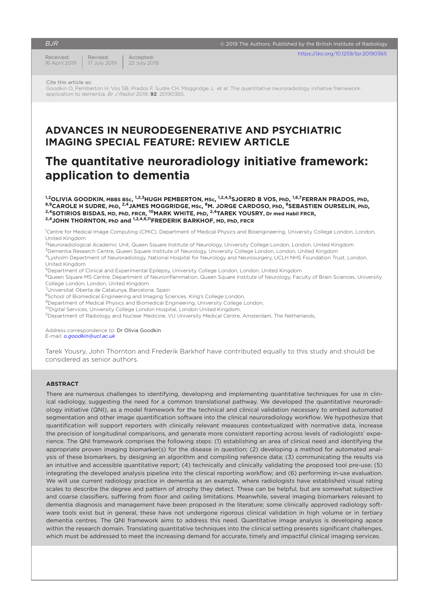## *BJR*

Received: 16 April 2019

Accepted: 22 July 2019 17 July 2019

Cite this article as:

Revised:

Goodkin O, Pemberton H, Vos SB, Prados F, Sudre CH, Moggridge J, et al. The quantitative neuroradiology initiative framework: application to dementia. *Br J Radiol* 2019; **92**: 20190365.

## **Advances in neurodegenerative and psychiatric imaging special feature: Review Article**

# **The quantitative neuroradiology initiative framework: application to dementia**

<sup>1,2</sup>OLIVIA GOODKIN, MBBS BSc, <sup>1,2,3</sup>HUGH PEMBERTON, MSc, <sup>1,2,4,5</sup>SJOERD B VOS, PhD, <sup>1,6,7</sup>FERRAN PRADOS, PhD, <sup>8,9</sup>CAROLE H SUDRE, PhD, <sup>2,4</sup>JAMES MOGGRIDGE, MSc, <sup>8</sup>M. JORGE CARDOSO, PhD, <sup>8,9</sup>SEBASTIEN OURSELIN, PhD,

<sup>1</sup>Centre for Medical Image Computing (CMIC), Department of Medical Physics and Bioengineering, University College London, London, United Kingdom

<sup>2</sup>Neuroradiological Academic Unit, Queen Square Institute of Neurology, University College London, London, United Kingdom

<sup>3</sup>Dementia Research Centre, Queen Square Institute of Neurology, University College London, London, United Kingdom

4Lysholm Department of Neuroradiology, National Hospital for Neurology and Neurosurgery, UCLH NHS Foundation Trust, London, United Kingdom

<sup>5</sup>Department of Clinical and Experimental Epilepsy, University College London, London, United Kingdom

<sup>6</sup>Queen Square MS Centre, Department of Neuroinflammation, Queen Square Institute of Neurology, Faculty of Brain Sciences, University College London, London, United Kingdom

<sup>7</sup>Universitat Oberta de Catalunya, Barcelona, Spain

<sup>8</sup>School of Biomedical Engineering and Imaging Sciences, King's College London,

<sup>9</sup>Department of Medical Physics and Biomedical Engineering, University College London,

<sup>10</sup>Digital Services, University College London Hospital, London United Kingdom,

<sup>11</sup>Department of Radiology and Nuclear Medicine, VU University Medical Centre, Amsterdam, The Netherlands,

Address correspondence to: Dr Olivia Goodkin E-mail: *[o.goodkin@ucl.ac.uk](mailto:o.goodkin@ucl.ac.uk)*

Tarek Yousry, John Thornton and Frederik Barkhof have contributed equally to this study and should be considered as senior authors.

#### **Abstract**

There are numerous challenges to identifying, developing and implementing quantitative techniques for use in clinical radiology, suggesting the need for a common translational pathway. We developed the quantitative neuroradiology initiative (QNI), as a model framework for the technical and clinical validation necessary to embed automated segmentation and other image quantification software into the clinical neuroradiology workflow. We hypothesize that quantification will support reporters with clinically relevant measures contextualized with normative data, increase the precision of longitudinal comparisons, and generate more consistent reporting across levels of radiologists' experience. The QNI framework comprises the following steps: (1) establishing an area of clinical need and identifying the appropriate proven imaging biomarker(s) for the disease in question; (2) developing a method for automated analysis of these biomarkers, by designing an algorithm and compiling reference data; (3) communicating the results via an intuitive and accessible quantitative report; (4) technically and clinically validating the proposed tool pre-use; (5) integrating the developed analysis pipeline into the clinical reporting workflow; and (6) performing in-use evaluation. We will use current radiology practice in dementia as an example, where radiologists have established visual rating scales to describe the degree and pattern of atrophy they detect. These can be helpful, but are somewhat subjective and coarse classifiers, suffering from floor and ceiling limitations. Meanwhile, several imaging biomarkers relevant to dementia diagnosis and management have been proposed in the literature; some clinically approved radiology software tools exist but in general, these have not undergone rigorous clinical validation in high volume or in tertiary dementia centres. The QNI framework aims to address this need. Quantitative image analysis is developing apace within the research domain. Translating quantitative techniques into the clinical setting presents significant challenges, which must be addressed to meet the increasing demand for accurate, timely and impactful clinical imaging services.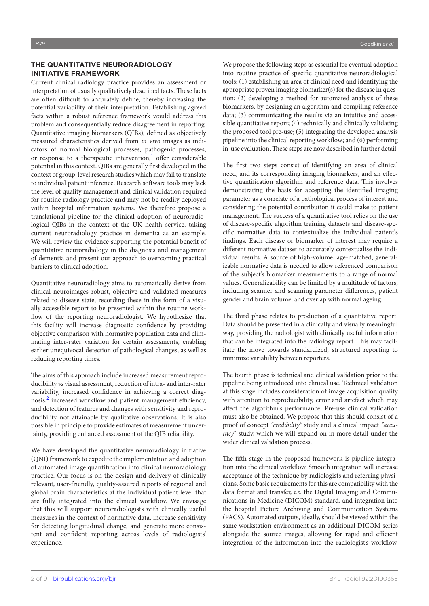## **THE QUANTITATIVE NEURORADIOLOGY INITIATIVE FRAMEWORK**

Current clinical radiology practice provides an assessment or interpretation of usually qualitatively described facts. These facts are often difficult to accurately define, thereby increasing the potential variability of their interpretation. Establishing agreed facts within a robust reference framework would address this problem and consequentially reduce disagreement in reporting. Quantitative imaging biomarkers (QIBs), defined as objectively measured characteristics derived from *in vivo* images as indicators of normal biological processes, pathogenic processes, or response to a therapeutic intervention,<sup>1</sup> offer considerable potential in this context. QIBs are generally first developed in the context of group-level research studies which may fail to translate to individual patient inference. Research software tools may lack the level of quality management and clinical validation required for routine radiology practice and may not be readily deployed within hospital information systems. We therefore propose a translational pipeline for the clinical adoption of neuroradiological QIBs in the context of the UK health service, taking current neuroradiology practice in dementia as an example. We will review the evidence supporting the potential benefit of quantitative neuroradiology in the diagnosis and management of dementia and present our approach to overcoming practical barriers to clinical adoption.

Quantitative neuroradiology aims to automatically derive from clinical neuroimages robust, objective and validated measures related to disease state, recording these in the form of a visually accessible report to be presented within the routine workflow of the reporting neuroradiologist. We hypothesize that this facility will increase diagnostic confidence by providing objective comparison with normative population data and eliminating inter-rater variation for certain assessments, enabling earlier unequivocal detection of pathological changes, as well as reducing reporting times.

The aims of this approach include increased measurement reproducibility *vs* visual assessment, reduction of intra- and inter-rater variability, increased confidence in achieving a correct diag-nosis,<sup>[2](#page-7-1)</sup> increased workflow and patient management efficiency, and detection of features and changes with sensitivity and reproducibility not attainable by qualitative observations. It is also possible in principle to provide estimates of measurement uncertainty, providing enhanced assessment of the QIB reliability.

We have developed the quantitative neuroradiology initiative (QNI) framework to expedite the implementation and adoption of automated image quantification into clinical neuroradiology practice. Our focus is on the design and delivery of clinically relevant, user-friendly, quality-assured reports of regional and global brain characteristics at the individual patient level that are fully integrated into the clinical workflow. We envisage that this will support neuroradiologists with clinically useful measures in the context of normative data, increase sensitivity for detecting longitudinal change, and generate more consistent and confident reporting across levels of radiologists' experience.

We propose the following steps as essential for eventual adoption into routine practice of specific quantitative neuroradiological tools: (1) establishing an area of clinical need and identifying the appropriate proven imaging biomarker(s) for the disease in question; (2) developing a method for automated analysis of these biomarkers, by designing an algorithm and compiling reference data; (3) communicating the results via an intuitive and accessible quantitative report; (4) technically and clinically validating the proposed tool pre-use; (5) integrating the developed analysis pipeline into the clinical reporting workflow; and (6) performing in-use evaluation. These steps are now described in further detail.

The first two steps consist of identifying an area of clinical need, and its corresponding imaging biomarkers, and an effective quantification algorithm and reference data. This involves demonstrating the basis for accepting the identified imaging parameter as a correlate of a pathological process of interest and considering the potential contribution it could make to patient management. The success of a quantitative tool relies on the use of disease-specific algorithm training datasets and disease-specific normative data to contextualize the individual patient's findings. Each disease or biomarker of interest may require a different normative dataset to accurately contextualise the individual results. A source of high-volume, age-matched, generalizable normative data is needed to allow referenced comparison of the subject's biomarker measurements to a range of normal values. Generalizability can be limited by a multitude of factors, including scanner and scanning parameter differences, patient gender and brain volume, and overlap with normal ageing.

The third phase relates to production of a quantitative report. Data should be presented in a clinically and visually meaningful way, providing the radiologist with clinically useful information that can be integrated into the radiology report. This may facilitate the move towards standardized, structured reporting to minimize variability between reporters.

The fourth phase is technical and clinical validation prior to the pipeline being introduced into clinical use. Technical validation at this stage includes consideration of image acquisition quality with attention to reproducibility, error and artefact which may affect the algorithm's performance. Pre-use clinical validation must also be obtained. We propose that this should consist of a proof of concept *"credibility"* study and a clinical impact *"accuracy*" study, which we will expand on in more detail under the wider clinical validation process.

The fifth stage in the proposed framework is pipeline integration into the clinical workflow. Smooth integration will increase acceptance of the technique by radiologists and referring physicians. Some basic requirements for this are compatibility with the data format and transfer, *i.e*. the Digital Imaging and Communications in Medicine (DICOM) standard, and integration into the hospital Picture Archiving and Communication Systems (PACS). Automated outputs, ideally, should be viewed within the same workstation environment as an additional DICOM series alongside the source images, allowing for rapid and efficient integration of the information into the radiologist's workflow.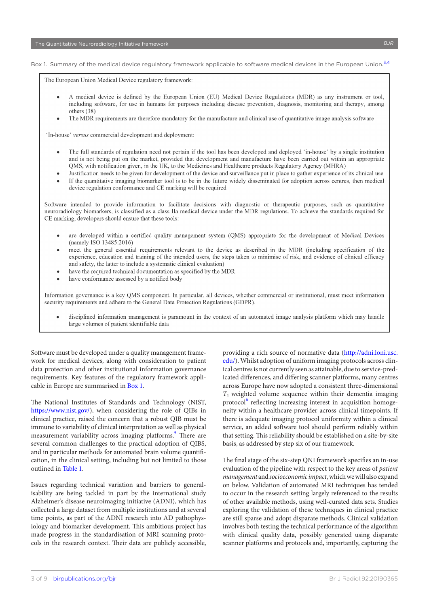<span id="page-2-0"></span>Box 1. Summary of the medical device regulatory framework applicable to software medical devices in the European Union.<sup>3,4</sup>

The European Union Medical Device regulatory framework:

- A medical device is defined by the European Union (EU) Medical Device Regulations (MDR) as any instrument or tool, including software, for use in humans for purposes including disease prevention, diagnosis, monitoring and therapy, among others (38)
- The MDR requirements are therefore mandatory for the manufacture and clinical use of quantitative image analysis software

'In-house' versus commercial development and deployment:

- The full standards of regulation need not pertain if the tool has been developed and deployed 'in-house' by a single institution and is not being put on the market, provided that development and manufacture have been carried out within an appropriate QMS, with notification given, in the UK, to the Medicines and Healthcare products Regulatory Agency (MHRA)
- Justification needs to be given for development of the device and surveillance put in place to gather experience of its clinical use If the quantitative imaging biomarker tool is to be in the future widely disseminated for adoption across centres, then medical device regulation conformance and CE marking will be required

Software intended to provide information to facilitate decisions with diagnostic or therapeutic purposes, such as quantitative neuroradiology biomarkers, is classified as a class IIa medical device under the MDR regulations. To achieve the standards required for CE marking, developers should ensure that these tools:

- are developed within a certified quality management system (QMS) appropriate for the development of Medical Devices (namely ISO 13485:2016)
- meet the general essential requirements relevant to the device as described in the MDR (including specification of the experience, education and training of the intended users, the steps taken to minimise of risk, and evidence of clinical efficacy and safety, the latter to include a systematic clinical evaluation)
- have the required technical documentation as specified by the MDR
- have conformance assessed by a notified body

Information governance is a key QMS component. In particular, all devices, whether commercial or institutional, must meet information security requirements and adhere to the General Data Protection Regulations (GDPR).

disciplined information management is paramount in the context of an automated image analysis platform which may handle large volumes of patient identifiable data

Software must be developed under a quality management framework for medical devices, along with consideration to patient data protection and other institutional information governance requirements. Key features of the regulatory framework applicable in Europe are summarised in [Box 1](#page-2-0).

The National Institutes of Standards and Technology (NIST, <https://www.nist.gov/>), when considering the role of QIBs in clinical practice, raised the concern that a robust QIB must be immune to variability of clinical interpretation as well as physical measurement variability across imaging platforms.<sup>[5](#page-7-2)</sup> There are several common challenges to the practical adoption of QIBS, and in particular methods for automated brain volume quantification, in the clinical setting, including but not limited to those outlined in [Table 1.](#page-3-0)

Issues regarding technical variation and barriers to generalisability are being tackled in part by the international study Alzheimer's disease neuroimaging initiative (ADNI), which has collected a large dataset from multiple institutions and at several time points, as part of the ADNI research into AD pathophysiology and biomarker development. This ambitious project has made progress in the standardisation of MRI scanning protocols in the research context. Their data are publicly accessible,

providing a rich source of normative data ([http://adni.loni.usc.](http://adni.loni.usc.edu/) [edu/](http://adni.loni.usc.edu/)). Whilst adoption of uniform imaging protocols across clinical centres is not currently seen as attainable, due to service-predicated differences, and differing scanner platforms, many centres across Europe have now adopted a consistent three-dimensional  $T_1$  weighted volume sequence within their dementia imaging protocol<sup>6</sup> reflecting increasing interest in acquisition homogeneity within a healthcare provider across clinical timepoints. If there is adequate imaging protocol uniformity within a clinical service, an added software tool should perform reliably within that setting. This reliability should be established on a site-by-site basis, as addressed by step six of our framework.

The final stage of the six-step QNI framework specifies an in-use evaluation of the pipeline with respect to the key areas of *patient management* and *socioeconomic impact*, which we will also expand on below. Validation of automated MRI techniques has tended to occur in the research setting largely referenced to the results of other available methods, using well-curated data sets. Studies exploring the validation of these techniques in clinical practice are still sparse and adopt disparate methods. Clinical validation involves both testing the technical performance of the algorithm with clinical quality data, possibly generated using disparate scanner platforms and protocols and, importantly, capturing the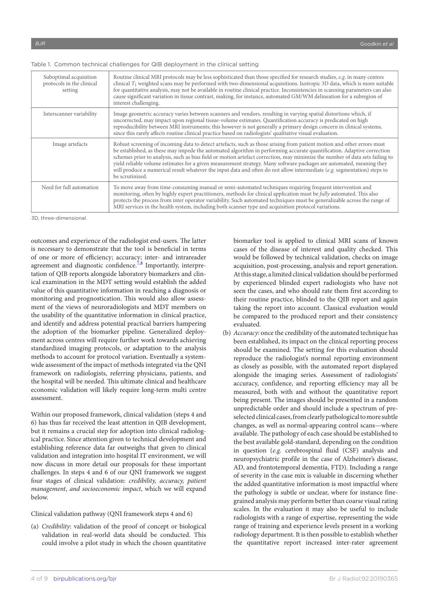<span id="page-3-0"></span>

|  |  |  | Table 1. Common technical challenges for QIB deployment in the clinical setting |  |  |  |  |  |  |
|--|--|--|---------------------------------------------------------------------------------|--|--|--|--|--|--|
|--|--|--|---------------------------------------------------------------------------------|--|--|--|--|--|--|

| Suboptimal acquisition<br>protocols in the clinical<br>setting | Routine clinical MRI protocols may be less sophisticated than those specified for research studies, e.g. in many centres<br>clinical $T_1$ weighted scans may be performed with two-dimensional acquisitions. Isotropic 3D data, which is more suitable<br>for quantitative analysis, may not be available in routine clinical practice. Inconsistencies in scanning parameters can also<br>cause significant variation in tissue contrast, making, for instance, automated GM/WM delineation for a subregion of<br>interest challenging.                                                                                                               |  |  |  |
|----------------------------------------------------------------|---------------------------------------------------------------------------------------------------------------------------------------------------------------------------------------------------------------------------------------------------------------------------------------------------------------------------------------------------------------------------------------------------------------------------------------------------------------------------------------------------------------------------------------------------------------------------------------------------------------------------------------------------------|--|--|--|
| Interscanner variability                                       | Image geometric accuracy varies between scanners and vendors, resulting in varying spatial distortions which, if<br>uncorrected, may impact upon regional tissue-volume estimates. Quantification accuracy is predicated on high<br>reproducibility between MRI instruments; this however is not generally a primary design concern in clinical systems,<br>since this rarely affects routine clinical practice based on radiologists' qualitative visual evaluation.                                                                                                                                                                                   |  |  |  |
| Image artefacts                                                | Robust screening of incoming data to detect artefacts, such as those arising from patient motion and other errors must<br>be established, as these may impede the automated algorithm in performing accurate quantification. Adaptive correction<br>schemes prior to analysis, such as bias field or motion artefact correction, may minimize the number of data sets failing to<br>yield reliable volume estimates for a given measurement strategy. Many software packages are automated, meaning they<br>will produce a numerical result whatever the input data and often do not allow intermediate (e.g. segmentation) steps to<br>be scrutinized. |  |  |  |
| Need for full automation                                       | To move away from time-consuming manual or semi-automated techniques requiring frequent intervention and<br>monitoring, often by highly expert practitioners, methods for clinical application must be <i>fully</i> automated. This also<br>protects the process from inter operator variability. Such automated techniques must be generalizable across the range of<br>MRI services in the health system, including both scanner type and acquisition protocol variations.                                                                                                                                                                            |  |  |  |

3D, three-dimensional.

outcomes and experience of the radiologist end-users. The latter is necessary to demonstrate that the tool is beneficial in terms of one or more of efficiency; accuracy; inter- and intrareader agreement and diagnostic confidence.<sup>7,8</sup> Importantly, interpretation of QIB reports alongside laboratory biomarkers and clinical examination in the MDT setting would establish the added value of this quantitative information in reaching a diagnosis or monitoring and prognostication. This would also allow assessment of the views of neuroradiologists and MDT members on the usability of the quantitative information in clinical practice, and identify and address potential practical barriers hampering the adoption of the biomarker pipeline. Generalized deployment across centres will require further work towards achieving standardized imaging protocols, or adaptation to the analysis methods to account for protocol variation. Eventually a systemwide assessment of the impact of methods integrated via the QNI framework on radiologists, referring physicians, patients, and the hospital will be needed. This ultimate clinical and healthcare economic validation will likely require long-term multi centre assessment.

Within our proposed framework, clinical validation (steps 4 and 6) has thus far received the least attention in QIB development, but it remains a crucial step for adoption into clinical radiological practice. Since attention given to technical development and establishing reference data far outweighs that given to clinical validation and integration into hospital IT environment, we will now discuss in more detail our proposals for these important challenges. In steps 4 and 6 of our QNI framework we suggest four stages of clinical validation: *credibility, accuracy, patient management*, *and socioeconomic impact*, which we will expand below.

Clinical validation pathway (QNI framework steps 4 and 6)

(a) *Credibility*: validation of the proof of concept or biological validation in real-world data should be conducted. This could involve a pilot study in which the chosen quantitative

biomarker tool is applied to clinical MRI scans of known cases of the disease of interest and quality checked. This would be followed by technical validation, checks on image acquisition, post-processing, analysis and report generation. At this stage, a limited clinical validation should be performed by experienced blinded expert radiologists who have not seen the cases, and who should rate them first according to their routine practice, blinded to the QIB report and again taking the report into account. Classical evaluation would be compared to the produced report and their consistency evaluated.

(b) *Accuracy*: once the credibility of the automated technique has been established, its impact on the clinical reporting process should be examined. The setting for this evaluation should reproduce the radiologist's normal reporting environment as closely as possible, with the automated report displayed alongside the imaging series. Assessment of radiologists' accuracy, confidence, and reporting efficiency may all be measured, both with and without the quantitative report being present. The images should be presented in a random unpredictable order and should include a spectrum of preselected clinical cases, from clearly pathological to more subtle changes, as well as normal-appearing control scans—where available. The pathology of each case should be established to the best available gold-standard, depending on the condition in question (*e.g.* cerebrospinal fluid (CSF) analysis and neuropsychiatric profile in the case of Alzheimer's disease, AD, and frontotemporal dementia, FTD). Including a range of severity in the case mix is valuable in discerning whether the added quantitative information is most impactful where the pathology is subtle or unclear, where for instance finegrained analysis may perform better than coarse visual rating scales. In the evaluation it may also be useful to include radiologists with a range of expertise, representing the wide range of training and experience levels present in a working radiology department. It is then possible to establish whether the quantitative report increased inter-rater agreement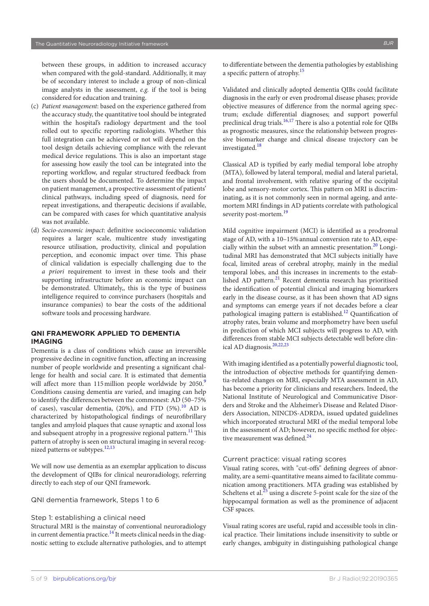between these groups, in addition to increased accuracy when compared with the gold-standard. Additionally, it may be of secondary interest to include a group of non-clinical image analysts in the assessment, *e.g.* if the tool is being considered for education and training.

- (c) *Patient management*: based on the experience gathered from the accuracy study, the quantitative tool should be integrated within the hospital's radiology department and the tool rolled out to specific reporting radiologists. Whether this full integration can be achieved or not will depend on the tool design details achieving compliance with the relevant medical device regulations. This is also an important stage for assessing how easily the tool can be integrated into the reporting workflow, and regular structured feedback from the users should be documented. To determine the impact on patient management, a prospective assessment of patients' clinical pathways, including speed of diagnosis, need for repeat investigations, and therapeutic decisions if available, can be compared with cases for which quantitative analysis was not available.
- (d) *Socio-economic impact*: definitive socioeconomic validation requires a larger scale, multicentre study investigating resource utilisation, productivity, clinical and population perception, and economic impact over time. This phase of clinical validation is especially challenging due to the *a priori* requirement to invest in these tools and their supporting infrastructure before an economic impact can be demonstrated. Ultimately,, this is the type of business intelligence required to convince purchasers (hospitals and insurance companies) to bear the costs of the additional software tools and processing hardware.

## **QNI framework applied to dementia imaging**

Dementia is a class of conditions which cause an irreversible progressive decline in cognitive function, affecting an increasing number of people worldwide and presenting a significant challenge for health and social care. It is estimated that dementia will affect more than 115 million people worldwide by  $2050$ . Conditions causing dementia are varied, and imaging can help to identify the differences between the commonest: AD (50–75% of cases), vascular dementia,  $(20\%)$ , and FTD  $(5\%)$ .<sup>[10](#page-7-7)</sup> AD is characterized by histopathological findings of neurofibrillary tangles and amyloid plaques that cause synaptic and axonal loss and subsequent atrophy in a progressive regional pattern.<sup>11</sup> This pattern of atrophy is seen on structural imaging in several recog-nized patterns or subtypes.<sup>[12,13](#page-7-9)</sup>

We will now use dementia as an exemplar application to discuss the development of QIBs for clinical neuroradiology, referring directly to each step of our QNI framework.

QNI dementia framework, Steps 1 to 6

#### Step 1: establishing a clinical need

Structural MRI is the mainstay of conventional neuroradiology in current dementia practice.<sup>[14](#page-7-10)</sup> It meets clinical needs in the diagnostic setting to exclude alternative pathologies, and to attempt to differentiate between the dementia pathologies by establishing a specific pattern of atrophy.<sup>[15](#page-7-11)</sup>

Validated and clinically adopted dementia QIBs could facilitate diagnosis in the early or even prodromal disease phases; provide objective measures of difference from the normal ageing spectrum; exclude differential diagnoses; and support powerful preclinical drug trials.[16,17](#page-7-12) There is also a potential role for QIBs as prognostic measures, since the relationship between progressive biomarker change and clinical disease trajectory can be investigated.<sup>[18](#page-7-13)</sup>

Classical AD is typified by early medial temporal lobe atrophy (MTA), followed by lateral temporal, medial and lateral parietal, and frontal involvement, with relative sparing of the occipital lobe and sensory-motor cortex. This pattern on MRI is discriminating, as it is not commonly seen in normal ageing, and antemortem MRI findings in AD patients correlate with pathological severity post-mortem.<sup>19</sup>

Mild cognitive impairment (MCI) is identified as a prodromal stage of AD, with a 10–15%annual conversion rate to AD, especially within the subset with an amnestic presentation. $20$  Longitudinal MRI has demonstrated that MCI subjects initially have focal, limited areas of cerebral atrophy, mainly in the medial temporal lobes, and this increases in increments to the established AD pattern. $21$  Recent dementia research has prioritised the identification of potential clinical and imaging biomarkers early in the disease course, as it has been shown that AD signs and symptoms can emerge years if not decades before a clear pathological imaging pattern is established.<sup>[12](#page-7-9)</sup> Quantification of atrophy rates, brain volume and morphometry have been useful in prediction of which MCI subjects will progress to AD, with differences from stable MCI subjects detectable well before clinical AD diagnosis.<sup>20,22,23</sup>

With imaging identified as a potentially powerful diagnostic tool, the introduction of objective methods for quantifying dementia-related changes on MRI, especially MTA assessment in AD, has become a priority for clinicians and researchers. Indeed, the National Institute of Neurological and Communicative Disorders and Stroke and the Alzheimer's Disease and Related Disorders Association, NINCDS-ADRDA, issued updated guidelines which incorporated structural MRI of the medial temporal lobe in the assessment of AD; however, no specific method for objec-tive measurement was defined.<sup>[24](#page-8-1)</sup>

#### Current practice: visual rating scores

Visual rating scores, with "cut-offs" defining degrees of abnormality, are a semi-quantitative means aimed to facilitate communication among practitioners. MTA grading was established by Scheltens et al. $^{25}$  $^{25}$  $^{25}$  using a discrete 5-point scale for the size of the hippocampal formation as well as the prominence of adjacent CSF spaces.

Visual rating scores are useful, rapid and accessible tools in clinical practice. Their limitations include insensitivity to subtle or early changes, ambiguity in distinguishing pathological change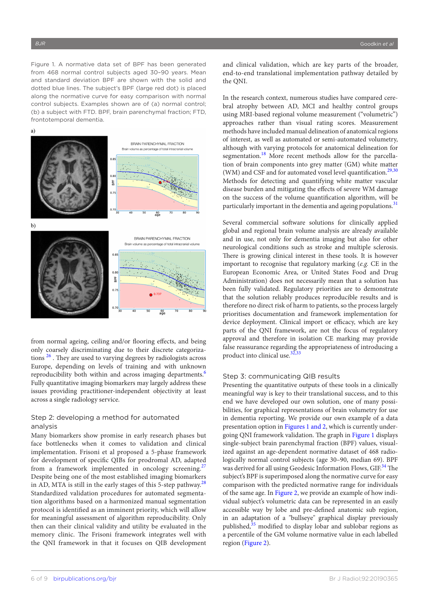<span id="page-5-0"></span>Figure 1. A normative data set of BPF has been generated from 468 normal control subjects aged 30–90 years. Mean and standard deviation BPF are shown with the solid and dotted blue lines. The subject's BPF (large red dot) is placed along the normative curve for easy comparison with normal control subjects. Examples shown are of (a) normal control; (b) a subject with FTD. BPF, brain parenchymal fraction; FTD, frontotemporal dementia.



from normal ageing, ceiling and/or flooring effects, and being only coarsely discriminating due to their discrete categorizations [26](#page-8-3) . They are used to varying degrees by radiologists across Europe, depending on levels of training and with unknown reproducibility both within and across imaging departments.<sup>[6](#page-7-3)</sup> Fully quantitative imaging biomarkers may largely address these issues providing practitioner-independent objectivity at least across a single radiology service.

## Step 2: developing a method for automated analysis

Many biomarkers show promise in early research phases but face bottlenecks when it comes to validation and clinical implementation. Frisoni et al proposed a 5-phase framework for development of specific QIBs for prodromal AD, adapted from a framework implemented in oncology screening.<sup>[27](#page-8-4)</sup> Despite being one of the most established imaging biomarkers in AD, MTA is still in the early stages of this 5-step pathway.<sup>[28](#page-8-5)</sup> Standardized validation procedures for automated segmentation algorithms based on a harmonized manual segmentation protocol is identified as an imminent priority, which will allow for meaningful assessment of algorithm reproducibility. Only then can their clinical validity and utility be evaluated in the memory clinic. The Frisoni framework integrates well with the QNI framework in that it focuses on QIB development

and clinical validation, which are key parts of the broader, end-to-end translational implementation pathway detailed by the QNI.

In the research context, numerous studies have compared cerebral atrophy between AD, MCI and healthy control groups using MRI-based regional volume measurement ("volumetric") approaches rather than visual rating scores. Measurement methods have included manual delineation of anatomical regions of interest, as well as automated or semi-automated volumetry, although with varying protocols for anatomical delineation for segmentation.<sup>[18](#page-7-13)</sup> More recent methods allow for the parcellation of brain components into grey matter (GM) white matter (WM) and CSF and for automated voxel level quantification.<sup>[29,30](#page-8-6)</sup> Methods for detecting and quantifying white matter vascular disease burden and mitigating the effects of severe WM damage on the success of the volume quantification algorithm, will be particularly important in the dementia and ageing populations.<sup>[31](#page-8-7)</sup>

Several commercial software solutions for clinically applied global and regional brain volume analysis are already available and in use, not only for dementia imaging but also for other neurological conditions such as stroke and multiple sclerosis. There is growing clinical interest in these tools. It is however important to recognise that regulatory marking (*e.g.* CE in the European Economic Area, or United States Food and Drug Administration) does not necessarily mean that a solution has been fully validated. Regulatory priorities are to demonstrate that the solution reliably produces reproducible results and is therefore no direct risk of harm to patients, so the process largely prioritises documentation and framework implementation for device deployment. Clinical import or efficacy, which are key parts of the QNI framework, are not the focus of regulatory approval and therefore in isolation CE marking may provide false reassurance regarding the appropriateness of introducing a product into clinical use.<sup>32,33</sup>

#### Step 3: communicating QIB results

Presenting the quantitative outputs of these tools in a clinically meaningful way is key to their translational success, and to this end we have developed our own solution, one of many possibilities, for graphical representations of brain volumetry for use in dementia reporting. We provide our own example of a data presentation option in [Figures 1 and 2](#page-5-0), which is currently under-going QNI framework validation. The graph in [Figure 1](#page-5-0) displays single-subject brain parenchymal fraction (BPF) values, visualized against an age-dependent normative dataset of 468 radiologically normal control subjects (age 30–90, median 69). BPF was derived for all using Geodesic Information Flows, GIF.<sup>[34](#page-8-9)</sup> The subject's BPF is superimposed along the normative curve for easy comparison with the predicted normative range for individuals of the same age. In [Figure 2,](#page-6-0) we provide an example of how individual subject's volumetric data can be represented in an easily accessible way by lobe and pre-defined anatomic sub region, in an adaptation of a "bullseye" graphical display previously published, $35 \text{ modified}$  to display lobar and sublobar regions as a percentile of the GM volume normative value in each labelled region ([Figure 2](#page-6-0)).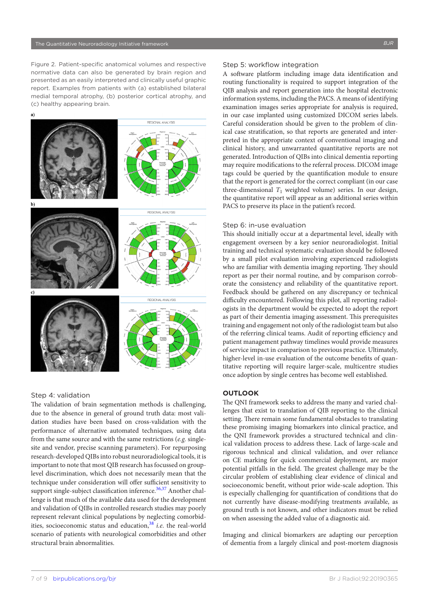<span id="page-6-0"></span>Figure 2. Patient-specific anatomical volumes and respective normative data can also be generated by brain region and presented as an easily interpreted and clinically useful graphic report. Examples from patients with (a) established bilateral medial temporal atrophy, (b) posterior cortical atrophy, and (c) healthy appearing brain.



#### Step 4: validation

The validation of brain segmentation methods is challenging, due to the absence in general of ground truth data: most validation studies have been based on cross-validation with the performance of alternative automated techniques, using data from the same source and with the same restrictions (*e.g.* singlesite and vendor, precise scanning parameters). For repurposing research-developed QIBs into robust neuroradiological tools, it is important to note that most QIB research has focussed on grouplevel discrimination, which does not necessarily mean that the technique under consideration will offer sufficient sensitivity to support single-subject classification inference.<sup>[36,37](#page-8-11)</sup> Another challenge is that much of the available data used for the development and validation of QIBs in controlled research studies may poorly represent relevant clinical populations by neglecting comorbid-ities, socioeconomic status and education,<sup>[38](#page-8-12)</sup> *i.e.* the real-world scenario of patients with neurological comorbidities and other structural brain abnormalities.

#### Step 5: workflow integration

A software platform including image data identification and routing functionality is required to support integration of the QIB analysis and report generation into the hospital electronic information systems, including the PACS. A means of identifying examination images series appropriate for analysis is required, in our case implanted using customized DICOM series labels. Careful consideration should be given to the problem of clinical case stratification, so that reports are generated and interpreted in the appropriate context of conventional imaging and clinical history, and unwarranted quantitative reports are not generated. Introduction of QIBs into clinical dementia reporting may require modifications to the referral process. DICOM image tags could be queried by the quantification module to ensure that the report is generated for the correct compliant (in our case three-dimensional  $T_1$  weighted volume) series. In our design, the quantitative report will appear as an additional series within PACS to preserve its place in the patient's record.

#### Step 6: in-use evaluation

This should initially occur at a departmental level, ideally with engagement overseen by a key senior neuroradiologist. Initial training and technical systematic evaluation should be followed by a small pilot evaluation involving experienced radiologists who are familiar with dementia imaging reporting. They should report as per their normal routine, and by comparison corroborate the consistency and reliability of the quantitative report. Feedback should be gathered on any discrepancy or technical difficulty encountered. Following this pilot, all reporting radiologists in the department would be expected to adopt the report as part of their dementia imaging assessment. This prerequisites training and engagement not only of the radiologist team but also of the referring clinical teams. Audit of reporting efficiency and patient management pathway timelines would provide measures of service impact in comparison to previous practice. Ultimately, higher-level in-use evaluation of the outcome benefits of quantitative reporting will require larger-scale, multicentre studies once adoption by single centres has become well established.

## **Outlook**

The QNI framework seeks to address the many and varied challenges that exist to translation of QIB reporting to the clinical setting. There remain some fundamental obstacles to translating these promising imaging biomarkers into clinical practice, and the QNI framework provides a structured technical and clinical validation process to address these. Lack of large-scale and rigorous technical and clinical validation, and over reliance on CE marking for quick commercial deployment, are major potential pitfalls in the field. The greatest challenge may be the circular problem of establishing clear evidence of clinical and socioeconomic benefit, without prior wide-scale adoption. This is especially challenging for quantification of conditions that do not currently have disease-modifying treatments available, as ground truth is not known, and other indicators must be relied on when assessing the added value of a diagnostic aid.

Imaging and clinical biomarkers are adapting our perception of dementia from a largely clinical and post-mortem diagnosis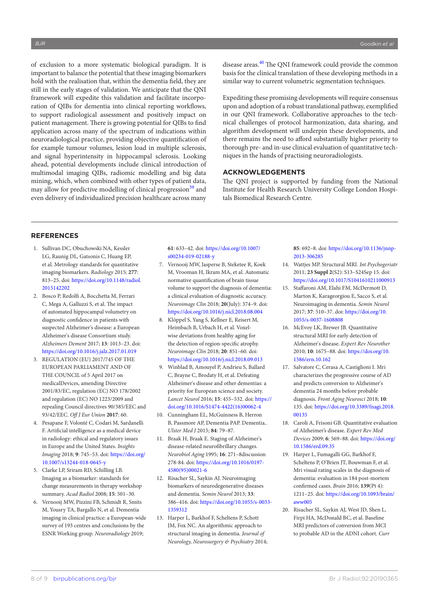of exclusion to a more systematic biological paradigm. It is important to balance the potential that these imaging biomarkers hold with the realisation that, within the dementia field, they are still in the early stages of validation. We anticipate that the QNI framework will expedite this validation and facilitate incorporation of QIBs for dementia into clinical reporting workflows, to support radiological assessment and positively impact on patient management. There is growing potential for QIBs to find application across many of the spectrum of indications within neuroradiological practice, providing objective quantification of for example tumour volumes, lesion load in multiple sclerosis, and signal hyperintensity in hippocampal sclerosis. Looking ahead, potential developments include clinical introduction of multimodal imaging QIBs, radiomic modelling and big data mining, which, when combined with other types of patient data, may allow for predictive modelling of clinical progression<sup>[39](#page-8-13)</sup> and even delivery of individualized precision healthcare across many disease areas.<sup>[40](#page-8-14)</sup> The QNI framework could provide the common basis for the clinical translation of these developing methods in a similar way to current volumetric segmentation techniques.

Expediting these promising developments will require consensus upon and adoption of a robust translational pathway, exemplified in our QNI framework. Collaborative approaches to the technical challenges of protocol harmonization, data sharing, and algorithm development will underpin these developments, and there remains the need to afford substantially higher priority to thorough pre- and in-use clinical evaluation of quantitative techniques in the hands of practising neuroradiologists.

## **Acknowledgements**

The QNI project is supported by funding from the National Institute for Health Research University College London Hospitals Biomedical Research Centre.

#### **References**

- <span id="page-7-0"></span>1. Sullivan DC, Obuchowski NA, Kessler LG, Raunig DL, Gatsonis C, Huang EP, et al. Metrology standards for quantitative imaging biomarkers. *Radiology* 2015; **277**: 813–25. doi: [https://doi.org/10.1148/radiol.](https://doi.org/10.1148/radiol.2015142202) [2015142202](https://doi.org/10.1148/radiol.2015142202)
- <span id="page-7-1"></span>2. Bosco P, Redolfi A, Bocchetta M, Ferrari C, Mega A, Galluzzi S, et al. The impact of automated hippocampal volumetry on diagnostic confidence in patients with suspected Alzheimer's disease: a European Alzheimer's disease Consortium study. *Alzheimers Dement* 2017; **13**: 1013–23. doi: <https://doi.org/10.1016/j.jalz.2017.01.019>
- <span id="page-7-4"></span>3. REGULATION (EU) 2017/745 OF THE EUROPEAN PARLIAMENT AND OF THE COUNCIL of 5 April 2017 on medicalDevices, amending Directive 2001/83/EC, regulation (EC) NO 178/2002 and regulation (EC) NO 1223/2009 and repealing Council directives 90/385/EEC and 93/42/EEC. *Off J Eur Union* **2017**: 60.
- 4. Pesapane F, Volonté C, Codari M, Sardanelli F. Artificial intelligence as a medical device in radiology: ethical and regulatory issues in Europe and the United States. *Insights Imaging* 2018; **9**: 745–53. doi: [https://doi.org/](https://doi.org/10.1007/s13244-018-0645-y) [10.1007/s13244-018-0645-y](https://doi.org/10.1007/s13244-018-0645-y)
- <span id="page-7-2"></span>5. Clarke LP, Sriram RD, Schilling LB. Imaging as a biomarker: standards for change measurements in therapy workshop summary. *Acad Radiol* 2008; **15**: 501–30.
- <span id="page-7-3"></span>6. Vernooij MW, Pizzini FB, Schmidt R, Smits M, Yousry TA, Bargallo N, et al. Dementia imaging in clinical practice: a European-wide survey of 193 centres and conclusions by the ESNR Working group. *Neuroradiology* 2019;

**61**: 633–42. doi: [https://doi.org/10.1007/](https://doi.org/10.1007/s00234-019-02188-y) [s00234-019-02188-y](https://doi.org/10.1007/s00234-019-02188-y)

- <span id="page-7-5"></span>7. Vernooij MW, Jasperse B, Steketee R, Koek M, Vrooman H, Ikram MA, et al. Automatic normative quantification of brain tissue volume to support the diagnosis of dementia: a clinical evaluation of diagnostic accuracy. *Neuroimage Clin* 2018; **20**(July): 374–9. doi: <https://doi.org/10.1016/j.nicl.2018.08.004>
- 8. Klöppel S, Yang S, Kellner E, Reisert M, Heimbach B, Urbach H, et al. Voxelwise deviations from healthy aging for the detection of region-specific atrophy. *Neuroimage Clin* 2018; **20**: 851–60. doi: <https://doi.org/10.1016/j.nicl.2018.09.013>
- <span id="page-7-6"></span>9. Winblad B, Amouyel P, Andrieu S, Ballard C, Brayne C, Brodaty H, et al. Defeating Alzheimer's disease and other dementias: a priority for European science and society. *Lancet Neurol* 2016; **15**: 455–532. doi: [https://](https://doi.org/10.1016/S1474-4422(16)00062-4) [doi.org/10.1016/S1474-4422\(16\)00062-4](https://doi.org/10.1016/S1474-4422(16)00062-4)
- <span id="page-7-7"></span>10. Cunningham EL, McGuinness B, Herron B, Passmore AP, Dementia PAP. Dementia.. *Ulster Med J* 2015; **84**: 79–87.
- <span id="page-7-8"></span>11. Braak H, Braak E. Staging of Alzheimer's disease-related neurofibrillary changes. *Neurobiol Aging* 1995; **16**: 271–8discussion 278-84. doi: [https://doi.org/10.1016/0197-](https://doi.org/10.1016/0197-4580(95)00021-6) [4580\(95\)00021-6](https://doi.org/10.1016/0197-4580(95)00021-6)
- <span id="page-7-9"></span>12. Risacher SL, Saykin AJ. Neuroimaging biomarkers of neurodegenerative diseases and dementia. *Semin Neurol* 2013; **33**: 386–416. doi: [https://doi.org/10.1055/s-0033-](https://doi.org/10.1055/s-0033-1359312) [1359312](https://doi.org/10.1055/s-0033-1359312)
- 13. Harper L, Barkhof F, Scheltens P, Schott JM, Fox NC. An algorithmic approach to structural imaging in dementia. *Journal of Neurology, Neurosurgery & Psychiatry* 2014;

**85**: 692–8. doi: [https://doi.org/10.1136/jnnp-](https://doi.org/10.1136/jnnp-2013-306285)[2013-306285](https://doi.org/10.1136/jnnp-2013-306285)

- <span id="page-7-10"></span>14. Wattjes MP. Structural MRI. *Int Psychogeriatr* 2011; **23 Suppl 2**(S2): S13–S24Sep 15. doi: <https://doi.org/10.1017/S1041610211000913>
- <span id="page-7-11"></span>15. Staffaroni AM, Elahi FM, McDermott D, Marton K, Karageorgiou E, Sacco S, et al. Neuroimaging in dementia. *Semin Neurol* 2017; **37**: 510–37. doi: [https://doi.org/10.](https://doi.org/10.1055/s-0037-1608808) [1055/s-0037-1608808](https://doi.org/10.1055/s-0037-1608808)
- <span id="page-7-12"></span>16. McEvoy LK, Brewer JB. Quantitative structural MRI for early detection of Alzheimer's disease. *Expert Rev Neurother* 2010; **10**: 1675–88. doi: [https://doi.org/10.](https://doi.org/10.1586/ern.10.162) [1586/ern.10.162](https://doi.org/10.1586/ern.10.162)
- 17. Salvatore C, Cerasa A, Castiglioni I. Mri characterizes the progressive course of AD and predicts conversion to Alzheimer's dementia 24 months before probable diagnosis. *Front Aging Neurosci* 2018; **10**: 135. doi: [https://doi.org/10.3389/fnagi.2018.](https://doi.org/10.3389/fnagi.2018.00135) [00135](https://doi.org/10.3389/fnagi.2018.00135)
- <span id="page-7-13"></span>18. Caroli A, Frisoni GB. Quantitative evaluation of Alzheimer's disease. *Expert Rev Med Devices* 2009; **6**: 569–88. doi: [https://doi.org/](https://doi.org/10.1586/erd.09.35) [10.1586/erd.09.35](https://doi.org/10.1586/erd.09.35)
- <span id="page-7-14"></span>19. Harper L, Fumagalli GG, Barkhof F, Scheltens P, O'Brien JT, Bouwman F, et al. Mri visual rating scales in the diagnosis of dementia: evaluation in 184 post-mortem confirmed cases. *Brain* 2016; **139**(Pt 4): 1211–25. doi: [https://doi.org/10.1093/brain/](https://doi.org/10.1093/brain/aww005) [aww005](https://doi.org/10.1093/brain/aww005)
- <span id="page-7-15"></span>20. Risacher SL, Saykin AJ, West JD, Shen L, Firpi HA, McDonald BC, et al. Baseline MRI predictors of conversion from MCI to probable AD in the ADNI cohort. *Curr*